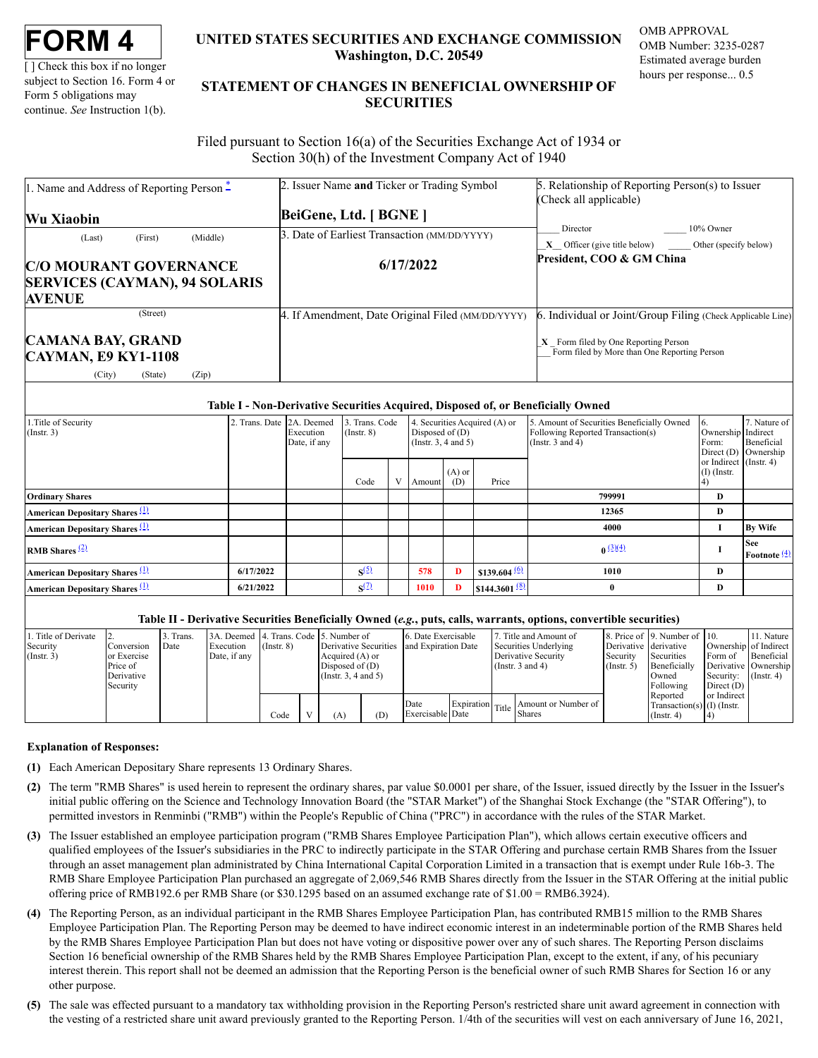[ ] Check this box if no longer subject to Section 16. Form 4 or Form 5 obligations may continue. *See* Instruction 1(b).

# **UNITED STATES SECURITIES AND EXCHANGE COMMISSION Washington, D.C. 20549**

OMB APPROVAL OMB Number: 3235-0287 Estimated average burden hours per response... 0.5

# **STATEMENT OF CHANGES IN BENEFICIAL OWNERSHIP OF SECURITIES**

Filed pursuant to Section 16(a) of the Securities Exchange Act of 1934 or Section 30(h) of the Investment Company Act of 1940

| 1. Name and Address of Reporting Person $\ddot{\text{-}}$ | 2. Issuer Name and Ticker or Trading Symbol       | 5. Relationship of Reporting Person(s) to Issuer                                       |  |  |  |  |
|-----------------------------------------------------------|---------------------------------------------------|----------------------------------------------------------------------------------------|--|--|--|--|
|                                                           |                                                   | (Check all applicable)                                                                 |  |  |  |  |
| <b>Wu Xiaobin</b>                                         | BeiGene, Ltd. [ BGNE ]                            |                                                                                        |  |  |  |  |
| (Middle)<br>(First)<br>(Last)                             | 3. Date of Earliest Transaction (MM/DD/YYYY)      | Director<br>10% Owner                                                                  |  |  |  |  |
|                                                           |                                                   | $X$ Officer (give title below) Other (specify below)                                   |  |  |  |  |
| <b>C/O MOURANT GOVERNANCE</b>                             | 6/17/2022                                         | President, COO & GM China                                                              |  |  |  |  |
| <b>SERVICES (CAYMAN), 94 SOLARIS</b>                      |                                                   |                                                                                        |  |  |  |  |
| <b>AVENUE</b>                                             |                                                   |                                                                                        |  |  |  |  |
| (Street)                                                  | 4. If Amendment, Date Original Filed (MM/DD/YYYY) | 6. Individual or Joint/Group Filing (Check Applicable Line)                            |  |  |  |  |
| <b>CAMANA BAY, GRAND</b>                                  |                                                   | $X$ Form filed by One Reporting Person<br>Form filed by More than One Reporting Person |  |  |  |  |
| <b>CAYMAN, E9 KY1-1108</b>                                |                                                   |                                                                                        |  |  |  |  |
| (City)<br>(State)<br>(Zip)                                |                                                   |                                                                                        |  |  |  |  |

### **Table I - Non-Derivative Securities Acquired, Disposed of, or Beneficially Owned**

| .Title of Security<br>$($ Instr. 3 $)$           | Trans. Date 2A. Deemed | Execution<br>Date, if any | 3. Trans. Code<br>$($ Instr. $8)$ |   | 4. Securities Acquired (A) or<br>Disposed of $(D)$<br>(Insert. 3, 4 and 5) |                 |                           | 5. Amount of Securities Beneficially Owned<br>Following Reported Transaction(s)<br>(Instr. $3$ and $4$ ) | 6.<br>Ownership Indirect<br>Form:<br>Direct $(D)$ | 7. Nature of<br>Beneficial<br>Ownership     |
|--------------------------------------------------|------------------------|---------------------------|-----------------------------------|---|----------------------------------------------------------------------------|-----------------|---------------------------|----------------------------------------------------------------------------------------------------------|---------------------------------------------------|---------------------------------------------|
|                                                  |                        |                           | Code                              | V | Amount                                                                     | $(A)$ or<br>(D) | Price                     |                                                                                                          | or Indirect (Instr. 4)<br>$(I)$ (Instr.           |                                             |
| <b>Ordinary Shares</b>                           |                        |                           |                                   |   |                                                                            |                 |                           | 799991                                                                                                   | D                                                 |                                             |
| <b>American Depositary Shares</b> (1)            |                        |                           |                                   |   |                                                                            |                 |                           | 12365                                                                                                    | D                                                 |                                             |
| <b>American Depositary Shares</b> <sup>(1)</sup> |                        |                           |                                   |   |                                                                            |                 |                           | 4000                                                                                                     |                                                   | <b>By Wife</b>                              |
| <b>RMB</b> Shares $\frac{(2)}{2}$                |                        |                           |                                   |   |                                                                            |                 |                           | $0^{(3)(4)}$                                                                                             |                                                   | <b>See</b><br><b>Footnote</b> $\frac{4}{2}$ |
| American Depositary Shares (1)                   | 6/17/2022              |                           | S <sup>(5)</sup>                  |   | 578                                                                        | D               | $$139.604\frac{60}{2}$    | 1010                                                                                                     | D                                                 |                                             |
| <b>American Depositary Shares</b> <sup>(1)</sup> | 6/21/2022              |                           | $\mathbf{S}^{(2)}$                |   | 1010                                                                       | D               | \$144.3601 <sup>(8)</sup> |                                                                                                          | D                                                 |                                             |

#### **Table II - Derivative Securities Beneficially Owned (***e.g.***, puts, calls, warrants, options, convertible securities)**

| Title of Derivate<br>Security<br>$($ Instr. 3) | <b>Conversion</b><br>or Exercise<br>Price of<br>Derivative<br>Security | Trans.<br>Date | 3A. Deemed 4. Trans. Code 5. Number of<br>Execution<br>Date, if any | $($ Instr. $8)$ |     | 6. Date Exercisable<br>and Expiration Date<br>Derivative Securities<br>Acquired (A) or<br>Disposed of $(D)$<br>(Instr. 3, 4 and 5) |                          | 7. Title and Amount of<br>Securities Underlying<br>Derivative Security<br>(Instr. $3$ and $4$ ) | Derivative derivative<br>Security<br>$($ Instr. 5 $)$ | 8. Price of 9. Number of 10.<br>Securities<br>Beneficially<br>Owned<br>Following | Ownership of Indirect<br>Form of<br>Derivative   Ownership<br>Security:<br>Direct $(D)$ | 11. Nature<br>Beneficial<br>$($ Instr. 4 $)$ |  |
|------------------------------------------------|------------------------------------------------------------------------|----------------|---------------------------------------------------------------------|-----------------|-----|------------------------------------------------------------------------------------------------------------------------------------|--------------------------|-------------------------------------------------------------------------------------------------|-------------------------------------------------------|----------------------------------------------------------------------------------|-----------------------------------------------------------------------------------------|----------------------------------------------|--|
|                                                |                                                                        |                |                                                                     | Code            | (A) | (D)                                                                                                                                | Date<br>Exercisable Date | Expiration Title   Among                                                                        | Amount or Number of<br><b>Shares</b>                  |                                                                                  | Reported<br>Transaction(s) $(I)$ (Instr.<br>$($ Instr. 4 $)$                            | or Indirect                                  |  |

## **Explanation of Responses:**

- <span id="page-0-0"></span>**(1)** Each American Depositary Share represents 13 Ordinary Shares.
- <span id="page-0-1"></span>**(2)** The term "RMB Shares" is used herein to represent the ordinary shares, par value \$0.0001 per share, of the Issuer, issued directly by the Issuer in the Issuer's initial public offering on the Science and Technology Innovation Board (the "STAR Market") of the Shanghai Stock Exchange (the "STAR Offering"), to permitted investors in Renminbi ("RMB") within the People's Republic of China ("PRC") in accordance with the rules of the STAR Market.
- <span id="page-0-2"></span>**(3)** The Issuer established an employee participation program ("RMB Shares Employee Participation Plan"), which allows certain executive officers and qualified employees of the Issuer's subsidiaries in the PRC to indirectly participate in the STAR Offering and purchase certain RMB Shares from the Issuer through an asset management plan administrated by China International Capital Corporation Limited in a transaction that is exempt under Rule 16b-3. The RMB Share Employee Participation Plan purchased an aggregate of 2,069,546 RMB Shares directly from the Issuer in the STAR Offering at the initial public offering price of RMB192.6 per RMB Share (or \$30.1295 based on an assumed exchange rate of \$1.00 = RMB6.3924).
- <span id="page-0-3"></span>**(4)** The Reporting Person, as an individual participant in the RMB Shares Employee Participation Plan, has contributed RMB15 million to the RMB Shares Employee Participation Plan. The Reporting Person may be deemed to have indirect economic interest in an indeterminable portion of the RMB Shares held by the RMB Shares Employee Participation Plan but does not have voting or dispositive power over any of such shares. The Reporting Person disclaims Section 16 beneficial ownership of the RMB Shares held by the RMB Shares Employee Participation Plan, except to the extent, if any, of his pecuniary interest therein. This report shall not be deemed an admission that the Reporting Person is the beneficial owner of such RMB Shares for Section 16 or any other purpose.
- <span id="page-0-4"></span>**(5)** The sale was effected pursuant to a mandatory tax withholding provision in the Reporting Person's restricted share unit award agreement in connection with the vesting of a restricted share unit award previously granted to the Reporting Person. 1/4th of the securities will vest on each anniversary of June 16, 2021,